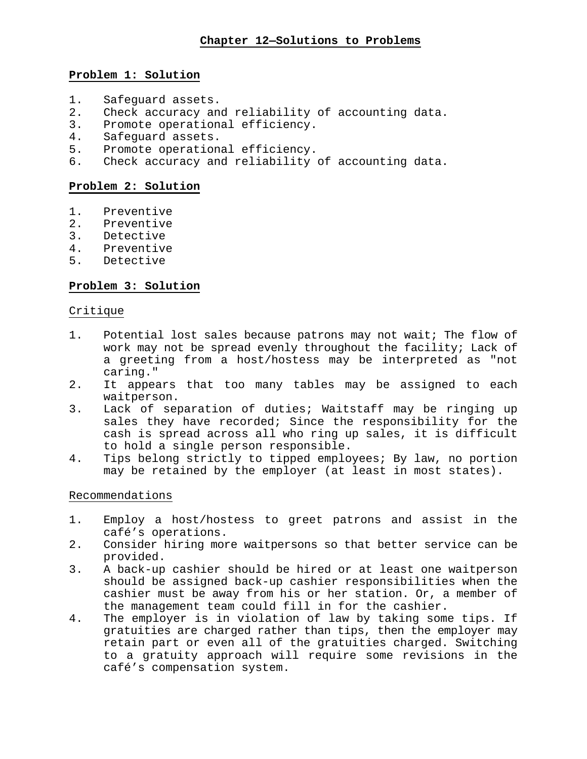## **Problem 1: Solution**

- 1. Safeguard assets.<br>2. Check accuracy and
- 2. Check accuracy and reliability of accounting data.<br>3. Promote operational efficiency.
- 3. Promote operational efficiency.<br>4. Safequard assets.
- 4. Safeguard assets.<br>5. Promote operation
- 5. Promote operational efficiency.<br>6. Check accuracy and reliability o
- Check accuracy and reliability of accounting data.

### **Problem 2: Solution**

- 1. Preventive<br>2. Preventive
- 
- 2. Preventive<br>3. Detective **Detective**
- 
- 4. Preventive<br>5. Detective 5. Detective

### **Problem 3: Solution**

### Critique

- 1. Potential lost sales because patrons may not wait; The flow of work may not be spread evenly throughout the facility; Lack of a greeting from a host/hostess may be interpreted as "not caring."
- 2. It appears that too many tables may be assigned to each waitperson.
- 3. Lack of separation of duties; Waitstaff may be ringing up sales they have recorded; Since the responsibility for the cash is spread across all who ring up sales, it is difficult to hold a single person responsible.
- 4. Tips belong strictly to tipped employees; By law, no portion may be retained by the employer (at least in most states).

### Recommendations

- 1. Employ a host/hostess to greet patrons and assist in the café's operations.
- 2. Consider hiring more waitpersons so that better service can be provided.
- 3. A back-up cashier should be hired or at least one waitperson should be assigned back-up cashier responsibilities when the cashier must be away from his or her station. Or, a member of the management team could fill in for the cashier.
- 4. The employer is in violation of law by taking some tips. If gratuities are charged rather than tips, then the employer may retain part or even all of the gratuities charged. Switching to a gratuity approach will require some revisions in the café's compensation system.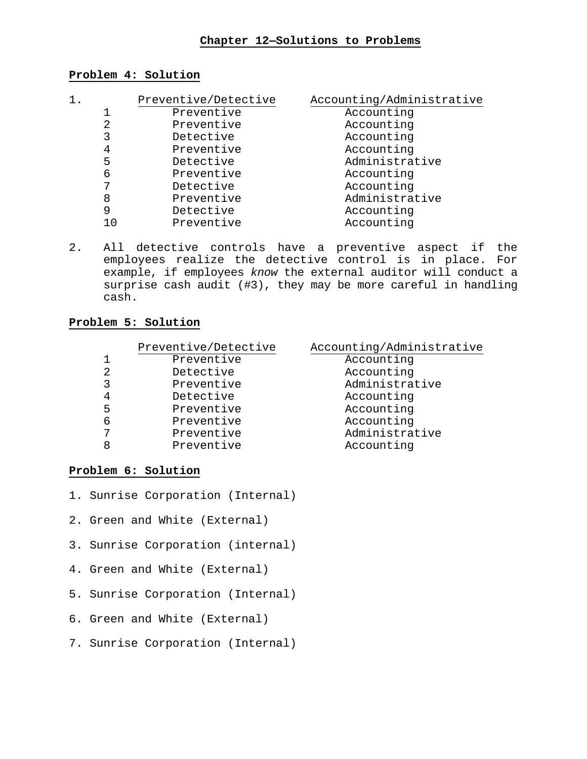### **Chapter 12—Solutions to Problems**

### **Problem 4: Solution**

| 1. | Preventive/Detective | Accounting/Administrative |
|----|----------------------|---------------------------|
|    | Preventive           | Accounting                |
| 2  | Preventive           | Accounting                |
| 3  | Detective            | Accounting                |
| 4  | Preventive           | Accounting                |
| 5  | Detective            | Administrative            |
| 6  | Preventive           | Accounting                |
|    | Detective            | Accounting                |
| 8  | Preventive           | Administrative            |
| 9  | Detective            | Accounting                |
| 10 | Preventive           | Accounting                |

2. All detective controls have a preventive aspect if the employees realize the detective control is in place. For example, if employees *know* the external auditor will conduct a surprise cash audit (#3), they may be more careful in handling cash.

### **Problem 5: Solution**

# Preventive/Detective Accounting/Administrative<br>Preventive Accounting 1 Preventive<br>2 Detective 2 Detective Detective Accounting<br>3 Preventive Administrat 3 Preventive Roministrative<br>4 Detective Recounting 4 Detective Detective Accounting<br>5 Preventive Accounting 5 Preventive Recounting<br>6 Preventive Accounting 6 Preventive Accounting 7 Preventive Preventive Administrative<br>8 Preventive Accounting Preventive

### **Problem 6: Solution**

- 1. Sunrise Corporation (Internal)
- 2. Green and White (External)
- 3. Sunrise Corporation (internal)
- 4. Green and White (External)
- 5. Sunrise Corporation (Internal)
- 6. Green and White (External)
- 7. Sunrise Corporation (Internal)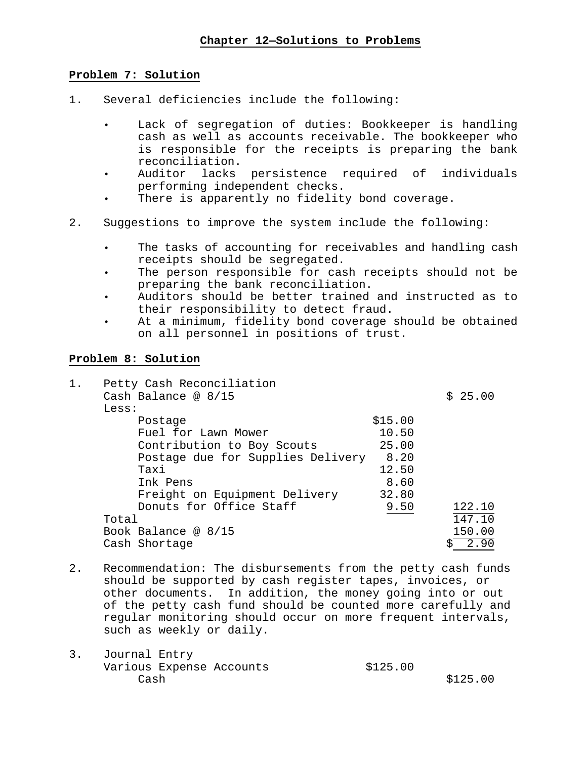### **Problem 7: Solution**

- 1. Several deficiencies include the following:
	- Lack of segregation of duties: Bookkeeper is handling cash as well as accounts receivable. The bookkeeper who is responsible for the receipts is preparing the bank reconciliation.
	- Auditor lacks persistence required of individuals performing independent checks.
	- There is apparently no fidelity bond coverage.
- 2. Suggestions to improve the system include the following:
	- The tasks of accounting for receivables and handling cash receipts should be segregated.
	- The person responsible for cash receipts should not be preparing the bank reconciliation.
	- Auditors should be better trained and instructed as to their responsibility to detect fraud.
	- At a minimum, fidelity bond coverage should be obtained on all personnel in positions of trust.

## **Problem 8: Solution**

| $1$ . | Petty Cash Reconciliation         |         |         |
|-------|-----------------------------------|---------|---------|
|       | Cash Balance @ $8/15$             |         | \$25.00 |
|       | Less:                             |         |         |
|       | Postage                           | \$15.00 |         |
|       | Fuel for Lawn Mower               | 10.50   |         |
|       | Contribution to Boy Scouts        | 25.00   |         |
|       | Postage due for Supplies Delivery | 8.20    |         |
|       | Taxi                              | 12.50   |         |
|       | Ink Pens                          | 8.60    |         |
|       | Freight on Equipment Delivery     | 32.80   |         |
|       | Donuts for Office Staff           | 9.50    | 122.10  |
|       | Total                             |         | 147.10  |
|       | Book Balance @ $8/15$             |         | 150.00  |
|       | Cash Shortage                     |         |         |

- 2. Recommendation: The disbursements from the petty cash funds should be supported by cash register tapes, invoices, or other documents. In addition, the money going into or out of the petty cash fund should be counted more carefully and regular monitoring should occur on more frequent intervals, such as weekly or daily.
- 3. Journal Entry Various Expense Accounts  $$125.00$ <br>Cash  $\cosh$  \$125.00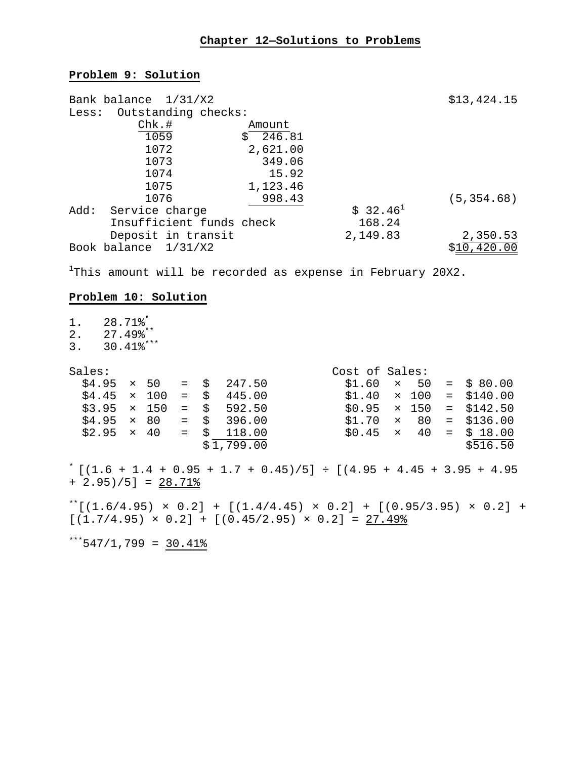# **Chapter 12—Solutions to Problems**

# **Problem 9: Solution**

|       | Bank balance 1/31/X2     |          |            | \$13,424.15 |
|-------|--------------------------|----------|------------|-------------|
| Less: | Outstanding checks:      |          |            |             |
|       | $Chk.$ #                 | Amount   |            |             |
|       | 1059                     | \$246.81 |            |             |
|       | 1072                     | 2,621.00 |            |             |
|       | 1073                     | 349.06   |            |             |
|       | 1074                     | 15.92    |            |             |
|       | 1075                     | 1,123.46 |            |             |
|       | 1076                     | 998.43   |            | (5, 354.68) |
| Add:  | Service charge           |          | $$32.46^1$ |             |
|       | Insufficient funds check |          | 168.24     |             |
|       | Deposit in transit       |          | 2,149.83   | 2,350.53    |
|       | Book balance 1/31/X2     |          |            | \$10,420.00 |

<sup>1</sup>This amount will be recorded as expense in February 20X2.

# **Problem 10: Solution**

| $1$ .<br>2.<br>3.                                                                                                                    | $28.71$ $8*$<br>$27.49$ $\degree$ $\degree$ $\degree$<br>$30.41$ $8***$ |  |                                                              |             |  |                                                                                                               |                                                                                                          |  |                                                                                                    |
|--------------------------------------------------------------------------------------------------------------------------------------|-------------------------------------------------------------------------|--|--------------------------------------------------------------|-------------|--|---------------------------------------------------------------------------------------------------------------|----------------------------------------------------------------------------------------------------------|--|----------------------------------------------------------------------------------------------------|
| Sales:                                                                                                                               | \$4.95                                                                  |  | $\times$ 50 = \$<br>$$4.45 \times 100$<br>$$3.95 \times 150$ | $=$ $\zeta$ |  | 247.50<br>445.00<br>$=$ \$ 592.50<br>$$4.95 \times 80 = $396.00$<br>$$2.95 \times 40 = $118.00$<br>\$1,799.00 | Cost of Sales:<br>$$1.40 \times 100 =$<br>$$0.95 \times 150$<br>$$1.70$ $\times$ 80<br>$$0.45 \times 40$ |  | $$1.60 \times 50 = $80.00$<br>\$140.00<br>$=$ \$142.50<br>$=$ \$136.00<br>$=$ \$ 18.00<br>\$516.50 |
| $^{*}$ [(1.6 + 1.4 + 0.95 + 1.7 + 0.45)/5] ÷ [(4.95 + 4.45 + 3.95 + 4.95<br>$+ 2.95)/5$ ] = 28.71%                                   |                                                                         |  |                                                              |             |  |                                                                                                               |                                                                                                          |  |                                                                                                    |
| $^*$ [(1.6/4.95) × 0.2] + [(1.4/4.45) × 0.2] + [(0.95/3.95) × 0.2] +<br>$[(1.7/4.95) \times 0.2] + [(0.45/2.95) \times 0.2] = 27.49$ |                                                                         |  |                                                              |             |  |                                                                                                               |                                                                                                          |  |                                                                                                    |

\*\*\*547/1,799 =  $\frac{30.41\%}{20.21\%}$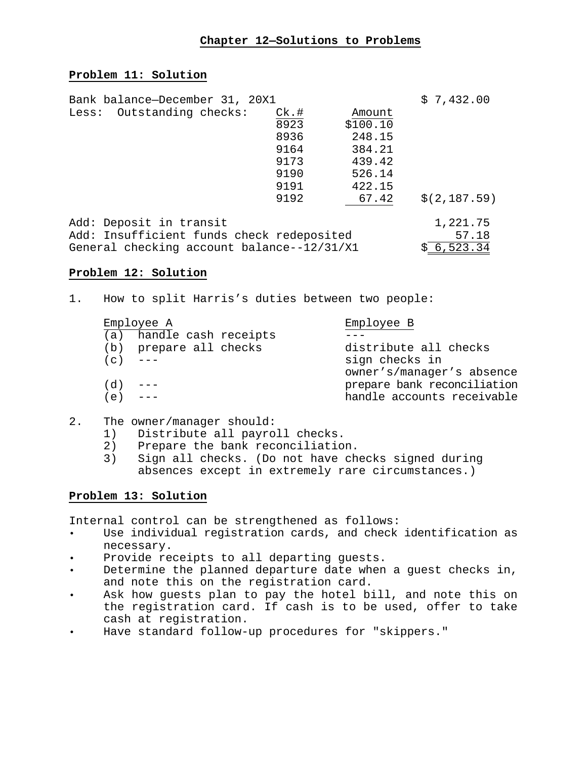### **Chapter 12—Solutions to Problems**

### **Problem 11: Solution**

| Bank balance-December 31, 20X1             |         |          | \$7,432.00   |
|--------------------------------------------|---------|----------|--------------|
| Less: Outstanding checks:                  | $CK.$ # | Amount   |              |
|                                            | 8923    | \$100.10 |              |
|                                            | 8936    | 248.15   |              |
|                                            | 9164    | 384.21   |              |
|                                            | 9173    | 439.42   |              |
|                                            | 9190    | 526.14   |              |
|                                            | 9191    | 422.15   |              |
|                                            | 9192    | 67.42    | \$(2,187.59) |
| Add: Deposit in transit                    |         |          | 1,221.75     |
| Add: Insufficient funds check redeposited  |         |          | 57.18        |
| General checking account balance--12/31/X1 |         |          | 6,523.34     |

### **Problem 12: Solution**

1. How to split Harris's duties between two people:

|           | Employee A               | Employee B                  |  |  |
|-----------|--------------------------|-----------------------------|--|--|
|           | (a) handle cash receipts |                             |  |  |
|           | (b) prepare all checks   | distribute all checks       |  |  |
| $(c)$ --- |                          | sign checks in              |  |  |
|           |                          | owner's/manager's absence   |  |  |
| (d)       |                          | prepare bank reconciliation |  |  |
| (e)       |                          | handle accounts receivable  |  |  |

- 2. The owner/manager should:
	- 1) Distribute all payroll checks.<br>2) Prepare the bank reconciliatio
	-
	- 2) Prepare the bank reconciliation.<br>3) Sign all checks. (Do not have ch Sign all checks. (Do not have checks signed during absences except in extremely rare circumstances.)

### **Problem 13: Solution**

Internal control can be strengthened as follows:

- Use individual registration cards, and check identification as necessary.
- Provide receipts to all departing guests.
- Determine the planned departure date when a guest checks in, and note this on the registration card.
- Ask how guests plan to pay the hotel bill, and note this on the registration card. If cash is to be used, offer to take cash at registration.
- Have standard follow-up procedures for "skippers."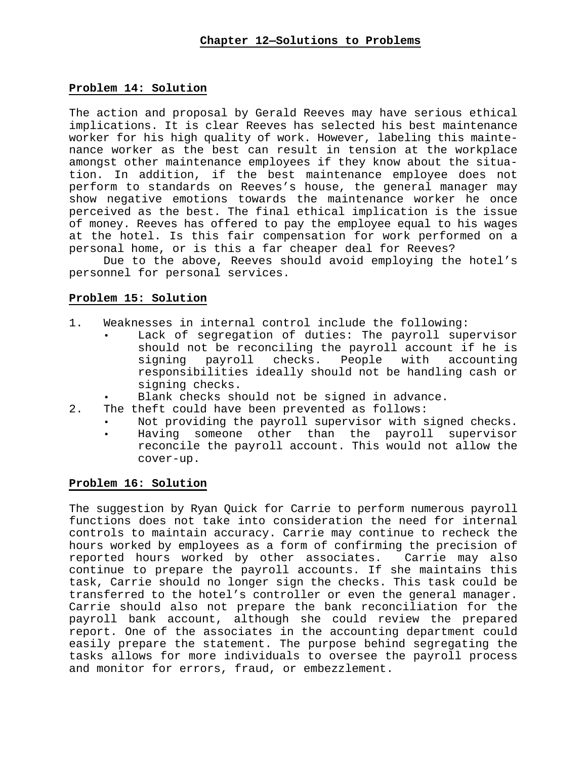### **Problem 14: Solution**

The action and proposal by Gerald Reeves may have serious ethical implications. It is clear Reeves has selected his best maintenance worker for his high quality of work. However, labeling this maintenance worker as the best can result in tension at the workplace amongst other maintenance employees if they know about the situation. In addition, if the best maintenance employee does not perform to standards on Reeves's house, the general manager may show negative emotions towards the maintenance worker he once perceived as the best. The final ethical implication is the issue of money. Reeves has offered to pay the employee equal to his wages at the hotel. Is this fair compensation for work performed on a personal home, or is this a far cheaper deal for Reeves?

Due to the above, Reeves should avoid employing the hotel's personnel for personal services.

## **Problem 15: Solution**

- 1. Weaknesses in internal control include the following:
	- Lack of segregation of duties: The payroll supervisor should not be reconciling the payroll account if he is<br>signing payroll checks. People with accounting signing payroll responsibilities ideally should not be handling cash or signing checks.
	- Blank checks should not be signed in advance.
- 2. The theft could have been prevented as follows:
	- Not providing the payroll supervisor with signed checks.
	- Having someone other than the payroll supervisor reconcile the payroll account. This would not allow the cover-up.

### **Problem 16: Solution**

The suggestion by Ryan Quick for Carrie to perform numerous payroll functions does not take into consideration the need for internal controls to maintain accuracy. Carrie may continue to recheck the hours worked by employees as a form of confirming the precision of reported hours worked by other associates. Carrie may also continue to prepare the payroll accounts. If she maintains this task, Carrie should no longer sign the checks. This task could be transferred to the hotel's controller or even the general manager. Carrie should also not prepare the bank reconciliation for the payroll bank account, although she could review the prepared report. One of the associates in the accounting department could easily prepare the statement. The purpose behind segregating the tasks allows for more individuals to oversee the payroll process and monitor for errors, fraud, or embezzlement.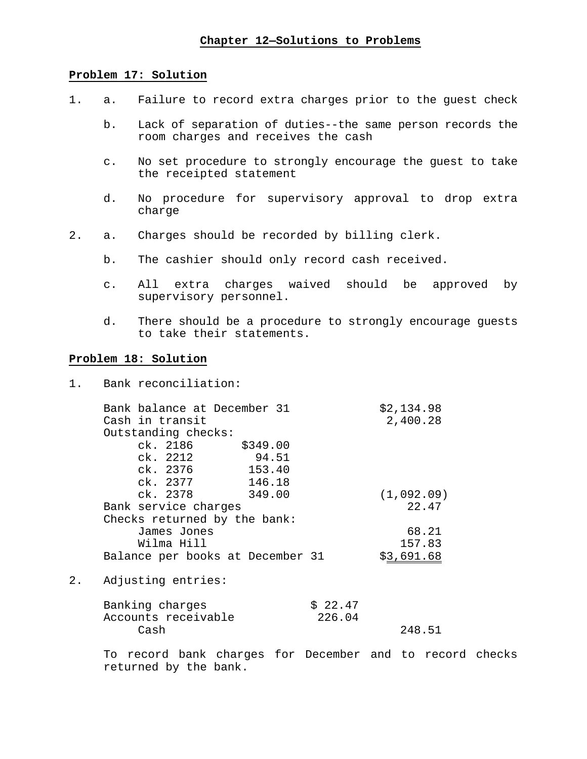### **Problem 17: Solution**

- 1. a. Failure to record extra charges prior to the guest check
	- b. Lack of separation of duties--the same person records the room charges and receives the cash
	- c. No set procedure to strongly encourage the guest to take the receipted statement
	- d. No procedure for supervisory approval to drop extra charge
- 2. a. Charges should be recorded by billing clerk.
	- b. The cashier should only record cash received.
	- c. All extra charges waived should be approved by supervisory personnel.
	- d. There should be a procedure to strongly encourage guests to take their statements.

### **Problem 18: Solution**

1. Bank reconciliation:

|    | Bank balance at December 31<br>Cash in transit |          |         | \$2,134.98<br>2,400.28 |
|----|------------------------------------------------|----------|---------|------------------------|
|    | Outstanding checks:                            |          |         |                        |
|    | ck. 2186                                       | \$349.00 |         |                        |
|    | ck. 2212                                       | 94.51    |         |                        |
|    | ck. 2376                                       | 153.40   |         |                        |
|    | ck. 2377                                       | 146.18   |         |                        |
|    | ck. 2378                                       | 349.00   |         | (1,092.09)             |
|    | Bank service charges                           |          |         | 22.47                  |
|    | Checks returned by the bank:                   |          |         |                        |
|    | James Jones                                    |          |         | 68.21                  |
|    | Wilma Hill                                     |          |         | 157.83                 |
|    | Balance per books at December 31               |          |         | \$3,691.68             |
|    |                                                |          |         |                        |
| 2. | Adjusting entries:                             |          |         |                        |
|    | Banking charges                                |          | \$22.47 |                        |

| panvind Chardep     | 9.44.1 |        |
|---------------------|--------|--------|
| Accounts receivable | 226.04 |        |
| Cash                |        | 248.51 |
|                     |        |        |

To record bank charges for December and to record checks returned by the bank.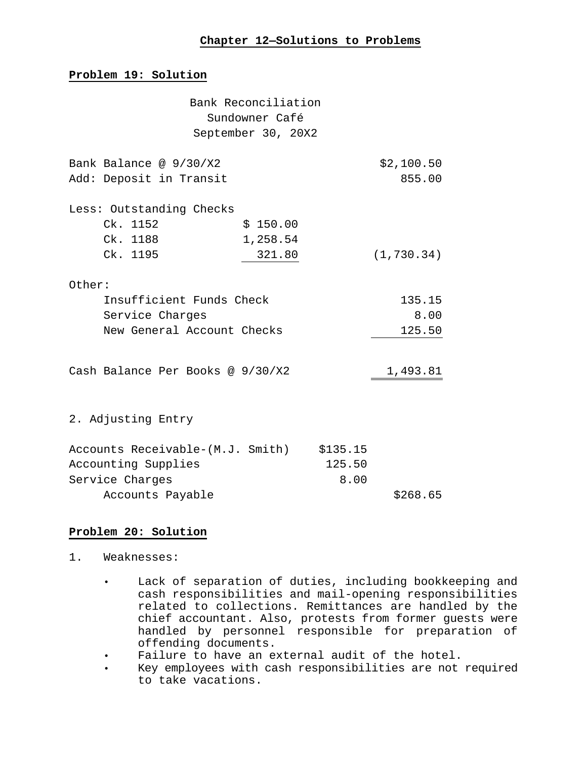### **Problem 19: Solution**

|        |                                           | Bank Reconciliation<br>Sundowner Café |        |             |
|--------|-------------------------------------------|---------------------------------------|--------|-------------|
|        |                                           | September 30, 20X2                    |        |             |
|        | Bank Balance @ 9/30/X2                    |                                       |        | \$2,100.50  |
|        | Add: Deposit in Transit                   |                                       |        | 855.00      |
|        | Less: Outstanding Checks                  |                                       |        |             |
|        | Ck. 1152                                  | \$150.00                              |        |             |
|        | Ck. 1188                                  | 1,258.54                              |        |             |
|        | Ck. 1195                                  | 321.80                                |        | (1, 730.34) |
| Other: |                                           |                                       |        |             |
|        | Insufficient Funds Check                  |                                       |        | 135.15      |
|        | Service Charges                           |                                       |        | 8.00        |
|        | New General Account Checks                |                                       |        | 125.50      |
|        | Cash Balance Per Books @ 9/30/X2          |                                       |        | 1,493.81    |
|        |                                           |                                       |        |             |
|        | 2. Adjusting Entry                        |                                       |        |             |
|        | Accounts Receivable-(M.J. Smith) \$135.15 |                                       |        |             |
|        | Accounting Supplies                       |                                       | 125.50 |             |
|        | Service Charges                           |                                       | 8.00   |             |
|        | Accounts Payable                          |                                       |        | \$268.65    |

# **Problem 20: Solution**

- 1. Weaknesses:
	- Lack of separation of duties, including bookkeeping and cash responsibilities and mail-opening responsibilities related to collections. Remittances are handled by the chief accountant. Also, protests from former guests were handled by personnel responsible for preparation of offending documents.
	- Failure to have an external audit of the hotel.<br>• Key employees with cash responsibilities are not
	- Key employees with cash responsibilities are not required to take vacations.